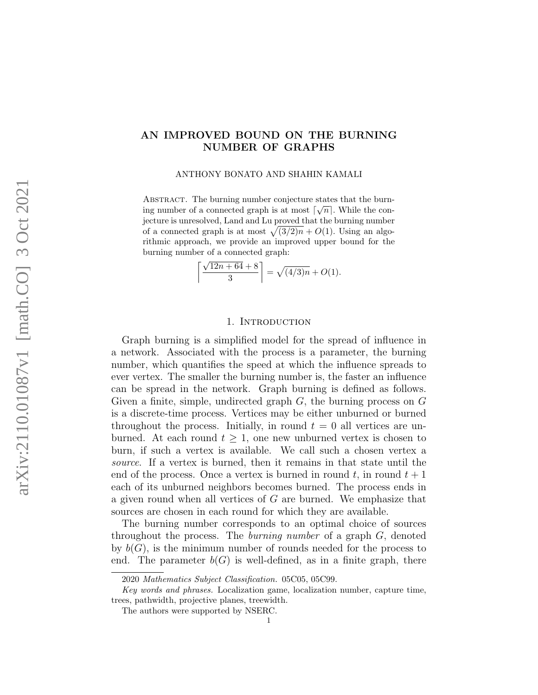# AN IMPROVED BOUND ON THE BURNING NUMBER OF GRAPHS

ANTHONY BONATO AND SHAHIN KAMALI

ABSTRACT. The burning number conjecture states that the burning number of a connected graph is at most  $\lceil \sqrt{n} \rceil$ . While the conjecture is unresolved, Land and Lu proved that the burning number of a connected graph is at most  $\sqrt{(3/2)n} + O(1)$ . Using an algorithmic approach, we provide an improved upper bound for the burning number of a connected graph:

$$
\left\lceil \frac{\sqrt{12n + 64} + 8}{3} \right\rceil = \sqrt{(4/3)n} + O(1).
$$

## 1. Introduction

Graph burning is a simplified model for the spread of influence in a network. Associated with the process is a parameter, the burning number, which quantifies the speed at which the influence spreads to ever vertex. The smaller the burning number is, the faster an influence can be spread in the network. Graph burning is defined as follows. Given a finite, simple, undirected graph  $G$ , the burning process on  $G$ is a discrete-time process. Vertices may be either unburned or burned throughout the process. Initially, in round  $t = 0$  all vertices are unburned. At each round  $t \geq 1$ , one new unburned vertex is chosen to burn, if such a vertex is available. We call such a chosen vertex a source. If a vertex is burned, then it remains in that state until the end of the process. Once a vertex is burned in round  $t$ , in round  $t + 1$ each of its unburned neighbors becomes burned. The process ends in a given round when all vertices of G are burned. We emphasize that sources are chosen in each round for which they are available.

The burning number corresponds to an optimal choice of sources throughout the process. The *burning number* of a graph  $G$ , denoted by  $b(G)$ , is the minimum number of rounds needed for the process to end. The parameter  $b(G)$  is well-defined, as in a finite graph, there

<sup>2020</sup> Mathematics Subject Classification. 05C05, 05C99.

Key words and phrases. Localization game, localization number, capture time, trees, pathwidth, projective planes, treewidth.

The authors were supported by NSERC.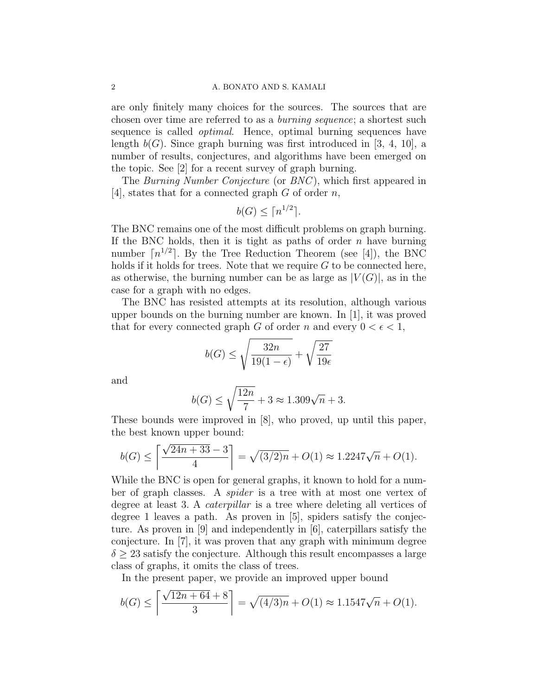# 2 A. BONATO AND S. KAMALI

are only finitely many choices for the sources. The sources that are chosen over time are referred to as a burning sequence; a shortest such sequence is called optimal. Hence, optimal burning sequences have length  $b(G)$ . Since graph burning was first introduced in [3, 4, 10], a number of results, conjectures, and algorithms have been emerged on the topic. See [2] for a recent survey of graph burning.

The Burning Number Conjecture (or BNC), which first appeared in [4], states that for a connected graph  $G$  of order  $n$ ,

$$
b(G) \le \lceil n^{1/2} \rceil.
$$

The BNC remains one of the most difficult problems on graph burning. If the BNC holds, then it is tight as paths of order  $n$  have burning number  $\lceil n^{1/2} \rceil$ . By the Tree Reduction Theorem (see [4]), the BNC holds if it holds for trees. Note that we require  $G$  to be connected here, as otherwise, the burning number can be as large as  $|V(G)|$ , as in the case for a graph with no edges.

The BNC has resisted attempts at its resolution, although various upper bounds on the burning number are known. In [1], it was proved that for every connected graph G of order n and every  $0 < \epsilon < 1$ ,

$$
b(G) \le \sqrt{\frac{32n}{19(1-\epsilon)}} + \sqrt{\frac{27}{19\epsilon}}
$$

and

$$
b(G) \le \sqrt{\frac{12n}{7}} + 3 \approx 1.309\sqrt{n} + 3.
$$

These bounds were improved in [8], who proved, up until this paper, the best known upper bound:

$$
b(G) \le \left\lceil \frac{\sqrt{24n + 33} - 3}{4} \right\rceil = \sqrt{(3/2)n} + O(1) \approx 1.2247\sqrt{n} + O(1).
$$

While the BNC is open for general graphs, it known to hold for a number of graph classes. A spider is a tree with at most one vertex of degree at least 3. A caterpillar is a tree where deleting all vertices of degree 1 leaves a path. As proven in [5], spiders satisfy the conjecture. As proven in [9] and independently in [6], caterpillars satisfy the conjecture. In [7], it was proven that any graph with minimum degree  $\delta > 23$  satisfy the conjecture. Although this result encompasses a large class of graphs, it omits the class of trees.

In the present paper, we provide an improved upper bound

$$
b(G) \le \left\lceil \frac{\sqrt{12n + 64} + 8}{3} \right\rceil = \sqrt{(4/3)n} + O(1) \approx 1.1547\sqrt{n} + O(1).
$$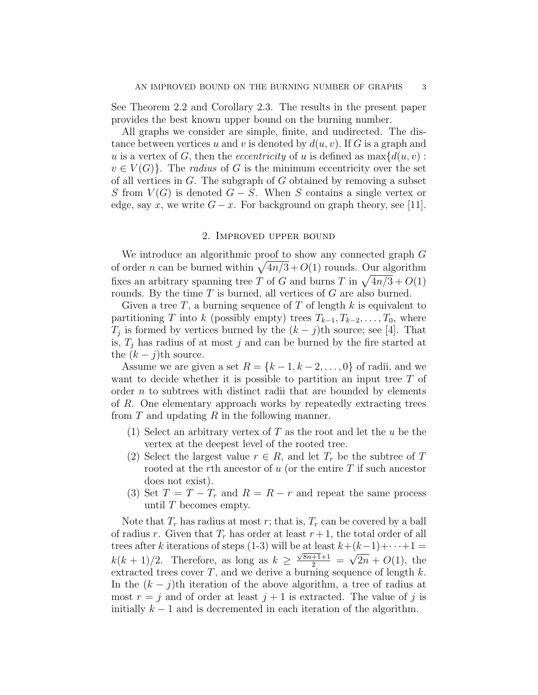See Theorem 2.2 and Corollary 2.3. The results in the present paper provides the best known upper bound on the burning number.

All graphs we consider are simple, finite, and undirected. The distance between vertices u and v is denoted by  $d(u, v)$ . If G is a graph and u is a vertex of G, then the *eccentricity* of u is defined as  $\max\{d(u, v):$  $v \in V(G)$ . The *radius* of G is the minimum eccentricity over the set of all vertices in  $G$ . The subgraph of  $G$  obtained by removing a subset S from  $V(G)$  is denoted  $G-S$ . When S contains a single vertex or edge, say x, we write  $G - x$ . For background on graph theory, see [11].

# 2. Improved upper bound

We introduce an algorithmic proof to show any connected graph G of order *n* can be burned within  $\sqrt{4n/3} + O(1)$  rounds. Our algorithm fixes an arbitrary spanning tree T of G and burns T in  $\sqrt{4n/3} + O(1)$ rounds. By the time  $T$  is burned, all vertices of  $G$  are also burned.

Given a tree T, a burning sequence of T of length k is equivalent to partitioning T into k (possibly empty) trees  $T_{k-1}, T_{k-2}, \ldots, T_0$ , where  $T_j$  is formed by vertices burned by the  $(k - j)$ th source; see [4]. That is,  $T_j$  has radius of at most j and can be burned by the fire started at the  $(k - j)$ th source.

Assume we are given a set  $R = \{k-1, k-2, \ldots, 0\}$  of radii, and we want to decide whether it is possible to partition an input tree  $T$  of order  $n$  to subtrees with distinct radii that are bounded by elements of R. One elementary approach works by repeatedly extracting trees from  $T$  and updating  $R$  in the following manner.

- (1) Select an arbitrary vertex of  $T$  as the root and let the  $u$  be the vertex at the deepest level of the rooted tree.
- (2) Select the largest value  $r \in R$ , and let  $T_r$  be the subtree of T rooted at the rth ancestor of  $u$  (or the entire  $T$  if such ancestor does not exist).
- (3) Set  $T = T T_r$  and  $R = R r$  and repeat the same process until  $T$  becomes empty.

Note that  $T_r$  has radius at most r; that is,  $T_r$  can be covered by a ball of radius r. Given that  $T_r$  has order at least  $r+1$ , the total order of all trees after k iterations of steps (1-3) will be at least  $k+(k-1)+\cdots+1=$  $k(k+1)/2$ . Therefore, as long as  $k \geq$  $\frac{\sqrt{8n+1}+1}{2}$  = √  $2n + O(1)$ , the extracted trees cover  $T$ , and we derive a burning sequence of length  $k$ . In the  $(k - j)$ th iteration of the above algorithm, a tree of radius at most  $r = j$  and of order at least  $j + 1$  is extracted. The value of j is initially  $k-1$  and is decremented in each iteration of the algorithm.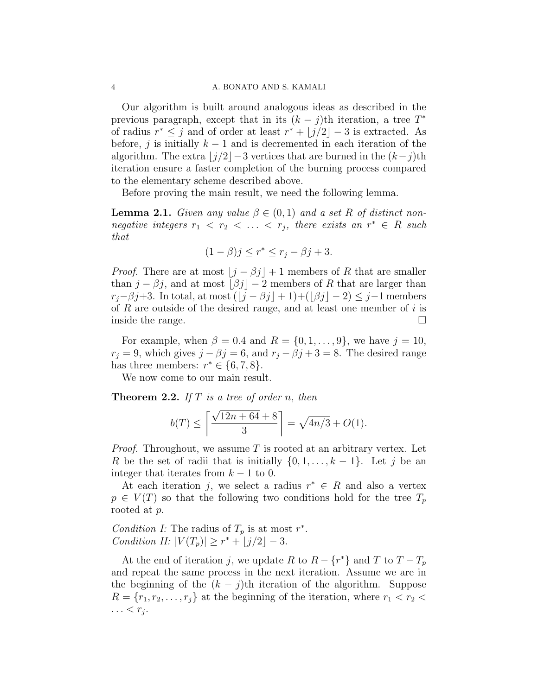## 4 A. BONATO AND S. KAMALI

Our algorithm is built around analogous ideas as described in the previous paragraph, except that in its  $(k - j)$ th iteration, a tree  $T^*$ of radius  $r^* \leq j$  and of order at least  $r^* + |j/2|-3$  is extracted. As before, j is initially  $k - 1$  and is decremented in each iteration of the algorithm. The extra  $|j/2|-3$  vertices that are burned in the  $(k-j)$ th iteration ensure a faster completion of the burning process compared to the elementary scheme described above.

Before proving the main result, we need the following lemma.

**Lemma 2.1.** Given any value  $\beta \in (0,1)$  and a set R of distinct nonnegative integers  $r_1 < r_2 < \ldots < r_j$ , there exists an  $r^* \in R$  such that

$$
(1 - \beta)j \le r^* \le r_j - \beta j + 3.
$$

*Proof.* There are at most  $\lfloor j - \beta j \rfloor + 1$  members of R that are smaller than  $j - \beta j$ , and at most  $\lfloor \beta j \rfloor - 2$  members of R that are larger than  $r_j-\beta j+3$ . In total, at most  $(\lfloor j-\beta j\rfloor + 1)+(\lfloor \beta j\rfloor - 2) \leq j-1$  members of  $R$  are outside of the desired range, and at least one member of  $i$  is inside the range.

For example, when  $\beta = 0.4$  and  $R = \{0, 1, \ldots, 9\}$ , we have  $j = 10$ ,  $r_j = 9$ , which gives  $j - \beta j = 6$ , and  $r_j - \beta j + 3 = 8$ . The desired range has three members:  $r^* \in \{6, 7, 8\}.$ 

We now come to our main result.

**Theorem 2.2.** If  $T$  is a tree of order n, then

$$
b(T) \le \left\lceil \frac{\sqrt{12n + 64} + 8}{3} \right\rceil = \sqrt{4n/3} + O(1).
$$

*Proof.* Throughout, we assume  $T$  is rooted at an arbitrary vertex. Let R be the set of radii that is initially  $\{0, 1, \ldots, k-1\}$ . Let j be an integer that iterates from  $k - 1$  to 0.

At each iteration j, we select a radius  $r^* \in R$  and also a vertex  $p \in V(T)$  so that the following two conditions hold for the tree  $T_p$ rooted at p.

Condition I: The radius of  $T_p$  is at most  $r^*$ . Condition II:  $|V(T_p)| \geq r^* + \lfloor j/2 \rfloor - 3$ .

At the end of iteration j, we update R to  $R - \{r^*\}$  and T to  $T - T_p$ and repeat the same process in the next iteration. Assume we are in the beginning of the  $(k - j)$ th iteration of the algorithm. Suppose  $R = \{r_1, r_2, \ldots, r_j\}$  at the beginning of the iteration, where  $r_1 < r_2$  $\ldots < r_j$ .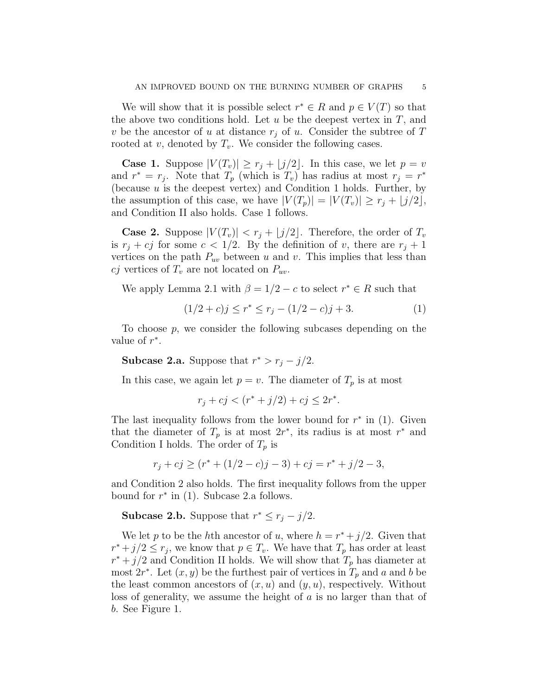We will show that it is possible select  $r^* \in R$  and  $p \in V(T)$  so that the above two conditions hold. Let  $u$  be the deepest vertex in  $T$ , and v be the ancestor of u at distance  $r_j$  of u. Consider the subtree of T rooted at  $v$ , denoted by  $T_v$ . We consider the following cases.

**Case 1.** Suppose  $|V(T_v)| \ge r_j + \lfloor j/2 \rfloor$ . In this case, we let  $p = v$ and  $r^* = r_j$ . Note that  $T_p$  (which is  $T_v$ ) has radius at most  $r_j = r^*$ (because u is the deepest vertex) and Condition 1 holds. Further, by the assumption of this case, we have  $|V(T_p)| = |V(T_v)| \ge r_j + |j/2|$ , and Condition II also holds. Case 1 follows.

**Case 2.** Suppose  $|V(T_v)| < r_j + \lfloor j/2 \rfloor$ . Therefore, the order of  $T_v$ is  $r_j + cj$  for some  $c < 1/2$ . By the definition of v, there are  $r_j + 1$ vertices on the path  $P_{uv}$  between u and v. This implies that less than cj vertices of  $T_v$  are not located on  $P_{uv}$ .

We apply Lemma 2.1 with  $\beta = 1/2 - c$  to select  $r^* \in R$  such that

$$
(1/2 + c)j \le r^* \le r_j - (1/2 - c)j + 3. \tag{1}
$$

To choose p, we consider the following subcases depending on the value of  $r^*$ .

**Subcase 2.a.** Suppose that  $r^* > r_j - j/2$ .

In this case, we again let  $p = v$ . The diameter of  $T_p$  is at most

$$
r_j + cj < (r^* + j/2) + cj \le 2r^*.
$$

The last inequality follows from the lower bound for  $r^*$  in (1). Given that the diameter of  $T_p$  is at most  $2r^*$ , its radius is at most  $r^*$  and Condition I holds. The order of  $T_p$  is

$$
r_j + cj \ge (r^* + (1/2 - c)j - 3) + cj = r^* + j/2 - 3,
$$

and Condition 2 also holds. The first inequality follows from the upper bound for  $r^*$  in (1). Subcase 2.a follows.

**Subcase 2.b.** Suppose that  $r^* \leq r_j - j/2$ .

We let p to be the hth ancestor of u, where  $h = r^* + j/2$ . Given that  $r^* + j/2 \leq r_j$ , we know that  $p \in T_v$ . We have that  $T_p$  has order at least  $r^* + j/2$  and Condition II holds. We will show that  $T_p$  has diameter at most  $2r^*$ . Let  $(x, y)$  be the furthest pair of vertices in  $T_p$  and a and b be the least common ancestors of  $(x, u)$  and  $(y, u)$ , respectively. Without loss of generality, we assume the height of a is no larger than that of b. See Figure 1.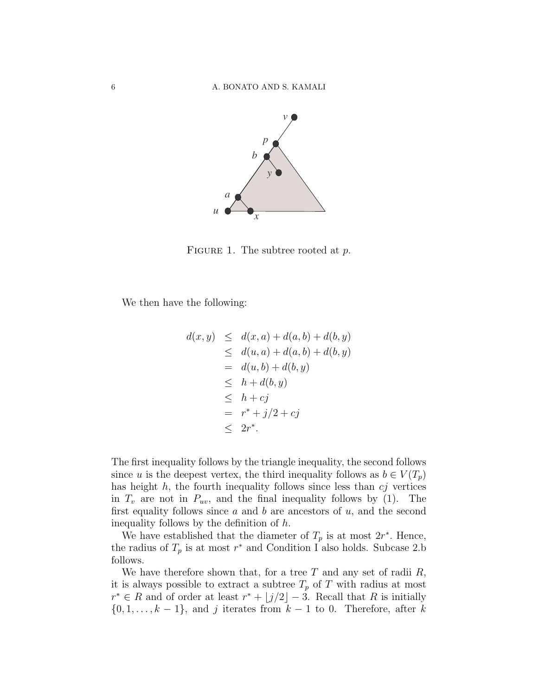

FIGURE 1. The subtree rooted at  $p$ .

We then have the following:

$$
d(x, y) \leq d(x, a) + d(a, b) + d(b, y)
$$
  
\n
$$
\leq d(u, a) + d(a, b) + d(b, y)
$$
  
\n
$$
= d(u, b) + d(b, y)
$$
  
\n
$$
\leq h + d(b, y)
$$
  
\n
$$
\leq h + cj
$$
  
\n
$$
= r^* + j/2 + cj
$$
  
\n
$$
\leq 2r^*.
$$

The first inequality follows by the triangle inequality, the second follows since u is the deepest vertex, the third inequality follows as  $b \in V(T_p)$ has height  $h$ , the fourth inequality follows since less than  $c_j$  vertices in  $T_v$  are not in  $P_{uv}$ , and the final inequality follows by (1). The first equality follows since  $a$  and  $b$  are ancestors of  $u$ , and the second inequality follows by the definition of h.

We have established that the diameter of  $T_p$  is at most  $2r^*$ . Hence, the radius of  $T_p$  is at most  $r^*$  and Condition I also holds. Subcase 2.b follows.

We have therefore shown that, for a tree  $T$  and any set of radii  $R$ , it is always possible to extract a subtree  $T_p$  of T with radius at most  $r^* \in R$  and of order at least  $r^* + |j/2|-3$ . Recall that R is initially  $\{0, 1, \ldots, k-1\}$ , and j iterates from  $k-1$  to 0. Therefore, after k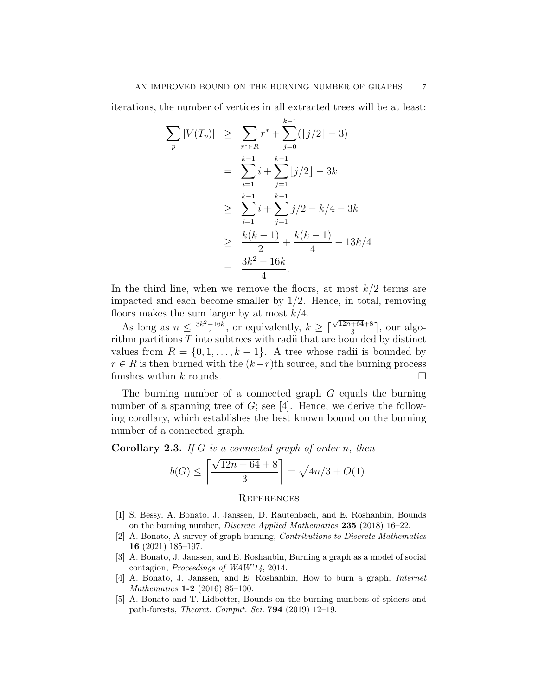iterations, the number of vertices in all extracted trees will be at least:

$$
\sum_{p} |V(T_p)| \geq \sum_{r^* \in R} r^* + \sum_{j=0}^{k-1} (|j/2| - 3)
$$
  
= 
$$
\sum_{i=1}^{k-1} i + \sum_{j=1}^{k-1} |j/2| - 3k
$$
  

$$
\geq \sum_{i=1}^{k-1} i + \sum_{j=1}^{k-1} j/2 - k/4 - 3k
$$
  

$$
\geq \frac{k(k-1)}{2} + \frac{k(k-1)}{4} - 13k/4
$$
  
= 
$$
\frac{3k^2 - 16k}{4}.
$$

In the third line, when we remove the floors, at most  $k/2$  terms are impacted and each become smaller by 1/2. Hence, in total, removing floors makes the sum larger by at most  $k/4$ .

As long as  $n \leq \frac{3k^2-16k}{4}$  $\frac{-16k}{4}$ , or equivalently,  $k \geq \lceil 2 \rceil$  $\sqrt{12n+64}+8$  $\frac{+64+8}{3}$ , our algorithm partitions  $T$  into subtrees with radii that are bounded by distinct values from  $R = \{0, 1, \ldots, k-1\}$ . A tree whose radii is bounded by  $r \in R$  is then burned with the  $(k-r)$ th source, and the burning process finishes within k rounds.  $\square$ 

The burning number of a connected graph G equals the burning number of a spanning tree of  $G$ ; see [4]. Hence, we derive the following corollary, which establishes the best known bound on the burning number of a connected graph.

**Corollary 2.3.** If G is a connected graph of order n, then

$$
b(G) \le \left\lceil \frac{\sqrt{12n + 64} + 8}{3} \right\rceil = \sqrt{4n/3} + O(1).
$$

#### **REFERENCES**

- [1] S. Bessy, A. Bonato, J. Janssen, D. Rautenbach, and E. Roshanbin, Bounds on the burning number, Discrete Applied Mathematics 235 (2018) 16–22.
- [2] A. Bonato, A survey of graph burning, Contributions to Discrete Mathematics 16 (2021) 185–197.
- [3] A. Bonato, J. Janssen, and E. Roshanbin, Burning a graph as a model of social contagion, Proceedings of WAW'14, 2014.
- [4] A. Bonato, J. Janssen, and E. Roshanbin, How to burn a graph, Internet Mathematics 1-2 (2016) 85–100.
- [5] A. Bonato and T. Lidbetter, Bounds on the burning numbers of spiders and path-forests, Theoret. Comput. Sci. 794 (2019) 12–19.